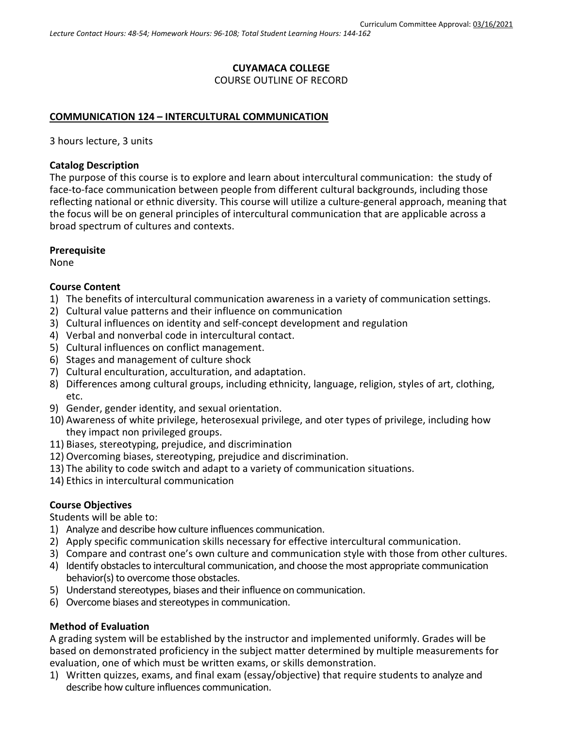# **CUYAMACA COLLEGE** COURSE OUTLINE OF RECORD

### **COMMUNICATION 124 – INTERCULTURAL COMMUNICATION**

3 hours lecture, 3 units

### **Catalog Description**

The purpose of this course is to explore and learn about intercultural communication: the study of face-to-face communication between people from different cultural backgrounds, including those reflecting national or ethnic diversity. This course will utilize a culture-general approach, meaning that the focus will be on general principles of intercultural communication that are applicable across a broad spectrum of cultures and contexts.

### **Prerequisite**

None

## **Course Content**

- 1) The benefits of intercultural communication awareness in a variety of communication settings.
- 2) Cultural value patterns and their influence on communication
- 3) Cultural influences on identity and self-concept development and regulation
- 4) Verbal and nonverbal code in intercultural contact.
- 5) Cultural influences on conflict management.
- 6) Stages and management of culture shock
- 7) Cultural enculturation, acculturation, and adaptation.
- 8) Differences among cultural groups, including ethnicity, language, religion, styles of art, clothing, etc.
- 9) Gender, gender identity, and sexual orientation.
- 10) Awareness of white privilege, heterosexual privilege, and oter types of privilege, including how they impact non privileged groups.
- 11) Biases, stereotyping, prejudice, and discrimination
- 12) Overcoming biases, stereotyping, prejudice and discrimination.
- 13) The ability to code switch and adapt to a variety of communication situations.
- 14) Ethics in intercultural communication

# **Course Objectives**

Students will be able to:

- 1) Analyze and describe how culture influences communication.
- 2) Apply specific communication skills necessary for effective intercultural communication.
- 3) Compare and contrast one's own culture and communication style with those from other cultures.
- 4) Identify obstacles to intercultural communication, and choose the most appropriate communication behavior(s) to overcome those obstacles.
- 5) Understand stereotypes, biases and their influence on communication.
- 6) Overcome biases and stereotypes in communication.

### **Method of Evaluation**

A grading system will be established by the instructor and implemented uniformly. Grades will be based on demonstrated proficiency in the subject matter determined by multiple measurements for evaluation, one of which must be written exams, or skills demonstration.

1) Written quizzes, exams, and final exam (essay/objective) that require students to analyze and describe how culture influences communication.